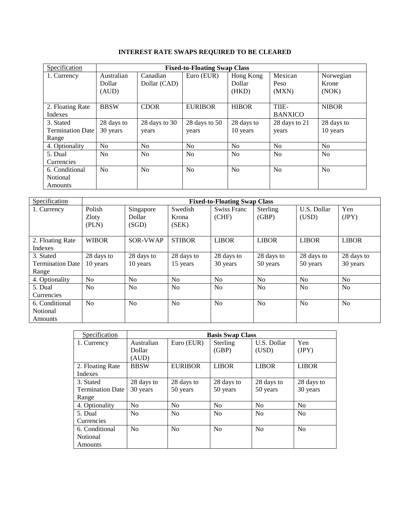| Specification                                 |                               | <b>Fixed-to-Floating Swap Class</b> |                        |                              |                          |                             |
|-----------------------------------------------|-------------------------------|-------------------------------------|------------------------|------------------------------|--------------------------|-----------------------------|
| 1. Currency                                   | Australian<br>Dollar<br>(AUD) | Canadian<br>Dollar (CAD)            | Euro (EUR)             | Hong Kong<br>Dollar<br>(HKD) | Mexican<br>Peso<br>(MXN) | Norwegian<br>Krone<br>(NOK) |
| 2. Floating Rate<br><b>Indexes</b>            | <b>BBSW</b>                   | <b>CDOR</b>                         | <b>EURIBOR</b>         | <b>HIBOR</b>                 | TIIE-<br><b>BANXICO</b>  | <b>NIBOR</b>                |
| 3. Stated<br><b>Termination Date</b><br>Range | 28 days to<br>30 years        | 28 days to 30<br>years              | 28 days to 50<br>years | 28 days to<br>10 years       | 28 days to 21<br>years   | 28 days to<br>10 years      |
| 4. Optionality                                | N <sub>0</sub>                | N <sub>o</sub>                      | No                     | No                           | N <sub>0</sub>           | N <sub>0</sub>              |
| 5. Dual<br>Currencies                         | N <sub>0</sub>                | N <sub>0</sub>                      | N <sub>0</sub>         | N <sub>0</sub>               | N <sub>0</sub>           | N <sub>0</sub>              |
| 6. Conditional<br>Notional<br>Amounts         | N <sub>0</sub>                | N <sub>o</sub>                      | No                     | No                           | N <sub>0</sub>           | N <sub>0</sub>              |

| Specification           | <b>Fixed-to-Floating Swap Class</b> |                |                |                |                |                |                |
|-------------------------|-------------------------------------|----------------|----------------|----------------|----------------|----------------|----------------|
| 1. Currency             | Polish                              | Singapore      | Swedish        | Swiss Franc    | Sterling       | U.S. Dollar    | Yen            |
|                         | Zloty                               | Dollar         | Krona          | (CHF)          | (GBP)          | (USD)          | (IPY)          |
|                         | (PLN)                               | (SGD)          | (SEK)          |                |                |                |                |
|                         |                                     |                |                |                |                |                |                |
| 2. Floating Rate        | <b>WIBOR</b>                        | SOR-VWAP       | <b>STIBOR</b>  | <b>LIBOR</b>   | <b>LIBOR</b>   | <b>LIBOR</b>   | <b>LIBOR</b>   |
| Indexes                 |                                     |                |                |                |                |                |                |
| 3. Stated               | 28 days to                          | 28 days to     | 28 days to     | 28 days to     | 28 days to     | 28 days to     | 28 days to     |
| <b>Termination Date</b> | 10 years                            | 10 years       | 15 years       | 30 years       | 50 years       | 50 years       | 30 years       |
| Range                   |                                     |                |                |                |                |                |                |
| 4. Optionality          | N <sub>o</sub>                      | N <sub>o</sub> | N <sub>o</sub> | N <sub>0</sub> | N <sub>o</sub> | N <sub>0</sub> | No             |
| 5. Dual                 | N <sub>o</sub>                      | N <sub>0</sub> | N <sub>o</sub> | N <sub>o</sub> | N <sub>o</sub> | N <sub>0</sub> | N <sub>o</sub> |
| Currencies              |                                     |                |                |                |                |                |                |
| 6. Conditional          | No                                  | No             | No             | N <sub>0</sub> | No             | No             | N <sub>o</sub> |
| Notional                |                                     |                |                |                |                |                |                |
| Amounts                 |                                     |                |                |                |                |                |                |

| Specification                                 |                               |                        | <b>Basis Swap Class</b> |                        |                        |
|-----------------------------------------------|-------------------------------|------------------------|-------------------------|------------------------|------------------------|
| 1. Currency                                   | Australian<br>Dollar<br>(AUD) | Euro (EUR)             | Sterling<br>(GBP)       | U.S. Dollar<br>(USD)   | Yen<br>(JPY)           |
| 2. Floating Rate<br>Indexes                   | <b>BBSW</b>                   | <b>EURIBOR</b>         | <b>LIBOR</b>            | <b>LIBOR</b>           | <b>LIBOR</b>           |
| 3. Stated<br><b>Termination Date</b><br>Range | 28 days to<br>30 years        | 28 days to<br>50 years | 28 days to<br>50 years  | 28 days to<br>50 years | 28 days to<br>30 years |
| 4. Optionality                                | N <sub>0</sub>                | No                     | N <sub>o</sub>          | N <sub>o</sub>         | N <sub>0</sub>         |
| 5. Dual<br>Currencies                         | N <sub>0</sub>                | No                     | N <sub>0</sub>          | No                     | N <sub>0</sub>         |
| 6. Conditional<br><b>Notional</b><br>Amounts  | N <sub>0</sub>                | No                     | No                      | No                     | N <sub>0</sub>         |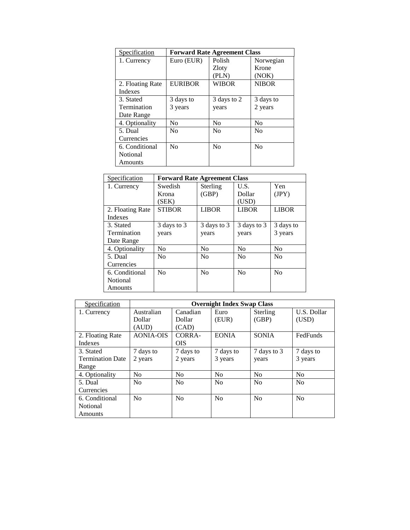| Specification    | <b>Forward Rate Agreement Class</b> |                |                |  |
|------------------|-------------------------------------|----------------|----------------|--|
| 1. Currency      | Euro (EUR)                          | Polish         | Norwegian      |  |
|                  |                                     | Zloty          | Krone          |  |
|                  |                                     | (PLN)          | (NOK)          |  |
| 2. Floating Rate | <b>EURIBOR</b>                      | WIBOR          | <b>NIBOR</b>   |  |
| Indexes          |                                     |                |                |  |
| 3. Stated        | 3 days to                           | 3 days to 2    | 3 days to      |  |
| Termination      | 3 years                             | years          | 2 years        |  |
| Date Range       |                                     |                |                |  |
| 4. Optionality   | N <sub>0</sub>                      | N <sub>0</sub> | N <sub>0</sub> |  |
| 5. Dual          | N <sub>0</sub>                      | N <sub>0</sub> | N <sub>0</sub> |  |
| Currencies       |                                     |                |                |  |
| 6. Conditional   | N <sub>0</sub>                      | N <sub>0</sub> | N <sub>0</sub> |  |
| Notional         |                                     |                |                |  |
| Amounts          |                                     |                |                |  |

| Specification    | <b>Forward Rate Agreement Class</b> |                |                |                |  |
|------------------|-------------------------------------|----------------|----------------|----------------|--|
| 1. Currency      | Swedish                             | Sterling       | U.S.           | Yen            |  |
|                  | Krona                               | (GBP)          | Dollar         | (IPY)          |  |
|                  | (SEK)                               |                | (USD)          |                |  |
| 2. Floating Rate | <b>STIBOR</b>                       | <b>LIBOR</b>   | <b>LIBOR</b>   | <b>LIBOR</b>   |  |
| Indexes          |                                     |                |                |                |  |
| 3. Stated        | 3 days to 3                         | 3 days to 3    | 3 days to 3    | 3 days to      |  |
| Termination      | years                               | years          | years          | 3 years        |  |
| Date Range       |                                     |                |                |                |  |
| 4. Optionality   | N <sub>0</sub>                      | N <sub>0</sub> | No             | N <sub>0</sub> |  |
| 5. Dual          | N <sub>0</sub>                      | N <sub>0</sub> | N <sub>0</sub> | No             |  |
| Currencies       |                                     |                |                |                |  |
| 6. Conditional   | No                                  | N <sub>0</sub> | N <sub>0</sub> | N <sub>0</sub> |  |
| Notional         |                                     |                |                |                |  |
| Amounts          |                                     |                |                |                |  |

| Specification           |                  |                | <b>Overnight Index Swap Class</b> |                |                |
|-------------------------|------------------|----------------|-----------------------------------|----------------|----------------|
| 1. Currency             | Australian       | Canadian       | Euro                              | Sterling       | U.S. Dollar    |
|                         | Dollar           | Dollar         | (EUR)                             | (GBP)          | (USD)          |
|                         | (AUD)            | (CAD)          |                                   |                |                |
| 2. Floating Rate        | <b>AONIA-OIS</b> | CORRA-         | <b>EONIA</b>                      | <b>SONIA</b>   | FedFunds       |
| Indexes                 |                  | <b>OIS</b>     |                                   |                |                |
| 3. Stated               | 7 days to        | 7 days to      | 7 days to                         | 7 days to 3    | 7 days to      |
| <b>Termination Date</b> | 2 years          | 2 years        | 3 years                           | years          | 3 years        |
| Range                   |                  |                |                                   |                |                |
| 4. Optionality          | N <sub>0</sub>   | N <sub>o</sub> | No                                | No             | No             |
| 5. Dual                 | N <sub>0</sub>   | N <sub>0</sub> | No                                | N <sub>0</sub> | N <sub>0</sub> |
| Currencies              |                  |                |                                   |                |                |
| 6. Conditional          | No               | No             | No                                | No             | N <sub>0</sub> |
| Notional                |                  |                |                                   |                |                |
| Amounts                 |                  |                |                                   |                |                |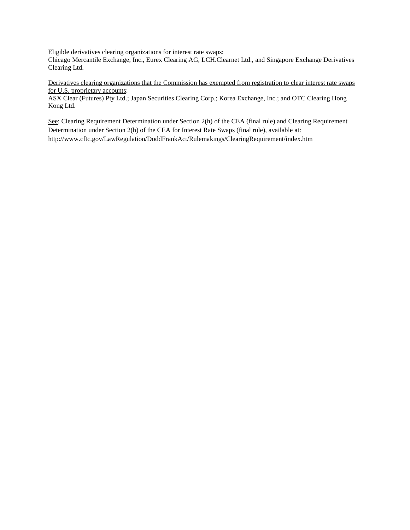Eligible derivatives clearing organizations for interest rate swaps:

Chicago Mercantile Exchange, Inc., Eurex Clearing AG, LCH.Clearnet Ltd., and Singapore Exchange Derivatives Clearing Ltd.

Derivatives clearing organizations that the Commission has exempted from registration to clear interest rate swaps for U.S. proprietary accounts:

ASX Clear (Futures) Pty Ltd.; Japan Securities Clearing Corp.; Korea Exchange, Inc.; and OTC Clearing Hong Kong Ltd.

See: Clearing Requirement Determination under Section 2(h) of the CEA (final rule) and Clearing Requirement Determination under Section 2(h) of the CEA for Interest Rate Swaps (final rule), available at: http://www.cftc.gov/LawRegulation/DoddFrankAct/Rulemakings/ClearingRequirement/index.htm